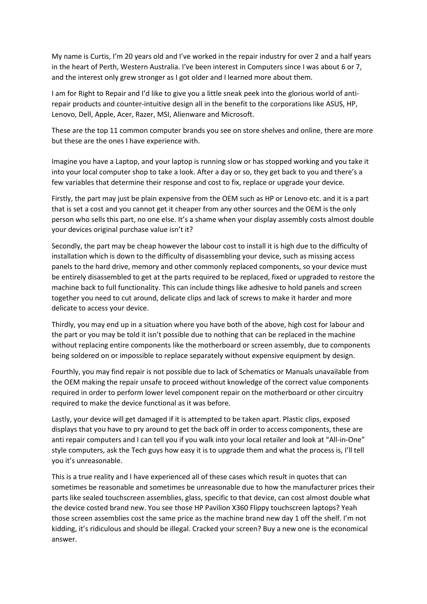My name is Curtis, I'm 20 years old and I've worked in the repair industry for over 2 and a half years in the heart of Perth, Western Australia. I've been interest in Computers since I was about 6 or 7, and the interest only grew stronger as I got older and I learned more about them.

I am for Right to Repair and I'd like to give you a little sneak peek into the glorious world of antirepair products and counter-intuitive design all in the benefit to the corporations like ASUS, HP, Lenovo, Dell, Apple, Acer, Razer, MSI, Alienware and Microsoft.

These are the top 11 common computer brands you see on store shelves and online, there are more but these are the ones I have experience with.

Imagine you have a Laptop, and your laptop is running slow or has stopped working and you take it into your local computer shop to take a look. After a day or so, they get back to you and there's a few variables that determine their response and cost to fix, replace or upgrade your device.

Firstly, the part may just be plain expensive from the OEM such as HP or Lenovo etc. and it is a part that is set a cost and you cannot get it cheaper from any other sources and the OEM is the only person who sells this part, no one else. It's a shame when your display assembly costs almost double your devices original purchase value isn't it?

Secondly, the part may be cheap however the labour cost to install it is high due to the difficulty of installation which is down to the difficulty of disassembling your device, such as missing access panels to the hard drive, memory and other commonly replaced components, so your device must be entirely disassembled to get at the parts required to be replaced, fixed or upgraded to restore the machine back to full functionality. This can include things like adhesive to hold panels and screen together you need to cut around, delicate clips and lack of screws to make it harder and more delicate to access your device.

Thirdly, you may end up in a situation where you have both of the above, high cost for labour and the part or you may be told it isn't possible due to nothing that can be replaced in the machine without replacing entire components like the motherboard or screen assembly, due to components being soldered on or impossible to replace separately without expensive equipment by design.

Fourthly, you may find repair is not possible due to lack of Schematics or Manuals unavailable from the OEM making the repair unsafe to proceed without knowledge of the correct value components required in order to perform lower level component repair on the motherboard or other circuitry required to make the device functional as it was before.

Lastly, your device will get damaged if it is attempted to be taken apart. Plastic clips, exposed displays that you have to pry around to get the back off in order to access components, these are anti repair computers and I can tell you if you walk into your local retailer and look at "All-in-One" style computers, ask the Tech guys how easy it is to upgrade them and what the process is, I'll tell you it's unreasonable.

This is a true reality and I have experienced all of these cases which result in quotes that can sometimes be reasonable and sometimes be unreasonable due to how the manufacturer prices their parts like sealed touchscreen assemblies, glass, specific to that device, can cost almost double what the device costed brand new. You see those HP Pavilion X360 Flippy touchscreen laptops? Yeah those screen assemblies cost the same price as the machine brand new day 1 off the shelf. I'm not kidding, it's ridiculous and should be illegal. Cracked your screen? Buy a new one is the economical answer.